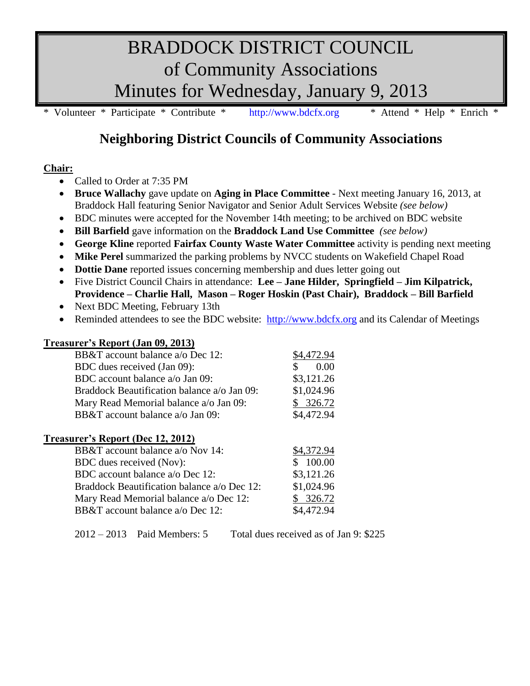# BRADDOCK DISTRICT COUNCIL of Community Associations Minutes for Wednesday, January 9, 2013

\* Volunteer \* Participate \* Contribute \* [http://www.bdcfx.org](http://www.bdcfx.org/) \* Attend \* Help \* Enrich \*

## **Neighboring District Councils of Community Associations**

#### **Chair:**

- Called to Order at 7:35 PM
- **Bruce Wallachy** gave update on **Aging in Place Committee** Next meeting January 16, 2013, at Braddock Hall featuring Senior Navigator and Senior Adult Services Website *(see below)*
- BDC minutes were accepted for the November 14th meeting; to be archived on BDC website
- **Bill Barfield** gave information on the **Braddock Land Use Committee** *(see below)*
- **George Kline** reported **Fairfax County Waste Water Committee** activity is pending next meeting
- **Mike Perel** summarized the parking problems by NVCC students on Wakefield Chapel Road
- **Dottie Dane** reported issues concerning membership and dues letter going out
- Five District Council Chairs in attendance: **Lee – Jane Hilder, Springfield – Jim Kilpatrick, Providence – Charlie Hall, Mason – Roger Hoskin (Past Chair), Braddock – Bill Barfield**
- Next BDC Meeting, February 13th
- Reminded attendees to see the BDC website: [http://www.bdcfx.org](http://www.bdcfx.org/) and its Calendar of Meetings

### **Treasurer's Report (Jan 09, 2013)** BB&T account balance a/o Dec 12: \$4,472.94 BDC dues received (Jan 09):  $$ 0.00$ BDC account balance a/o Jan 09: \$3,121.26 Braddock Beautification balance a/o Jan 09: \$1,024.96 Mary Read Memorial balance a/o Jan 09: \$ 326.72 BB&T account balance a/o Jan 09: \$4,472.94

#### **Treasurer's Report (Dec 12, 2012)**

| BB&T account balance a/o Nov 14:            | \$4,372.94 |
|---------------------------------------------|------------|
| BDC dues received (Nov):                    | \$100.00   |
| BDC account balance a/o Dec 12:             | \$3,121.26 |
| Braddock Beautification balance a/o Dec 12: | \$1,024.96 |
| Mary Read Memorial balance a/o Dec 12:      | \$326.72   |
| BB&T account balance a/o Dec 12:            | \$4,472.94 |

2012 – 2013 Paid Members: 5 Total dues received as of Jan 9: \$225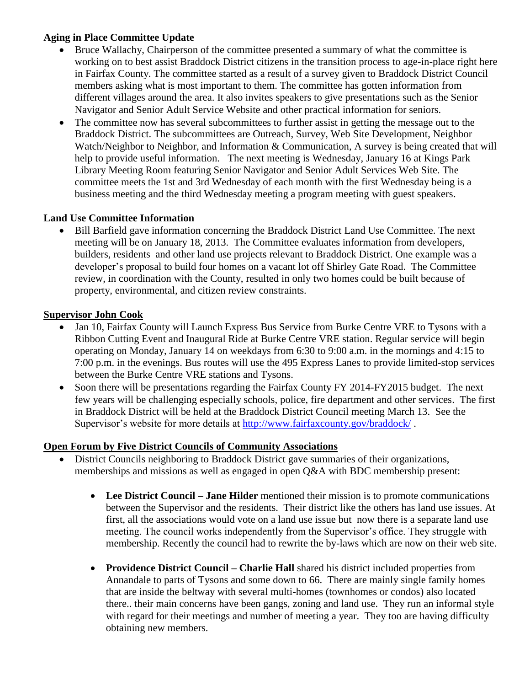#### **Aging in Place Committee Update**

- Bruce Wallachy, Chairperson of the committee presented a summary of what the committee is working on to best assist Braddock District citizens in the transition process to age-in-place right here in Fairfax County. The committee started as a result of a survey given to Braddock District Council members asking what is most important to them. The committee has gotten information from different villages around the area. It also invites speakers to give presentations such as the Senior Navigator and Senior Adult Service Website and other practical information for seniors.
- The committee now has several subcommittees to further assist in getting the message out to the Braddock District. The subcommittees are Outreach, Survey, Web Site Development, Neighbor Watch/Neighbor to Neighbor, and Information & Communication, A survey is being created that will help to provide useful information. The next meeting is Wednesday, January 16 at Kings Park Library Meeting Room featuring Senior Navigator and Senior Adult Services Web Site. The committee meets the 1st and 3rd Wednesday of each month with the first Wednesday being is a business meeting and the third Wednesday meeting a program meeting with guest speakers.

#### **Land Use Committee Information**

 Bill Barfield gave information concerning the Braddock District Land Use Committee. The next meeting will be on January 18, 2013. The Committee evaluates information from developers, builders, residents and other land use projects relevant to Braddock District. One example was a developer's proposal to build four homes on a vacant lot off Shirley Gate Road. The Committee review, in coordination with the County, resulted in only two homes could be built because of property, environmental, and citizen review constraints.

#### **Supervisor John Cook**

- Jan 10, Fairfax County will Launch Express Bus Service from Burke Centre VRE to Tysons with a Ribbon Cutting Event and Inaugural Ride at Burke Centre VRE station. Regular service will begin operating on Monday, January 14 on weekdays from 6:30 to 9:00 a.m. in the mornings and 4:15 to 7:00 p.m. in the evenings. Bus routes will use the 495 Express Lanes to provide limited-stop services between the Burke Centre VRE stations and Tysons.
- Soon there will be presentations regarding the Fairfax County FY 2014-FY2015 budget. The next few years will be challenging especially schools, police, fire department and other services. The first in Braddock District will be held at the Braddock District Council meeting March 13. See the Supervisor's website for more details at<http://www.fairfaxcounty.gov/braddock/>.

#### **Open Forum by Five District Councils of Community Associations**

- District Councils neighboring to Braddock District gave summaries of their organizations, memberships and missions as well as engaged in open Q&A with BDC membership present:
	- **Lee District Council – Jane Hilder** mentioned their mission is to promote communications between the Supervisor and the residents. Their district like the others has land use issues. At first, all the associations would vote on a land use issue but now there is a separate land use meeting. The council works independently from the Supervisor's office. They struggle with membership. Recently the council had to rewrite the by-laws which are now on their web site.
	- **Providence District Council – Charlie Hall** shared his district included properties from Annandale to parts of Tysons and some down to 66. There are mainly single family homes that are inside the beltway with several multi-homes (townhomes or condos) also located there.. their main concerns have been gangs, zoning and land use. They run an informal style with regard for their meetings and number of meeting a year. They too are having difficulty obtaining new members.